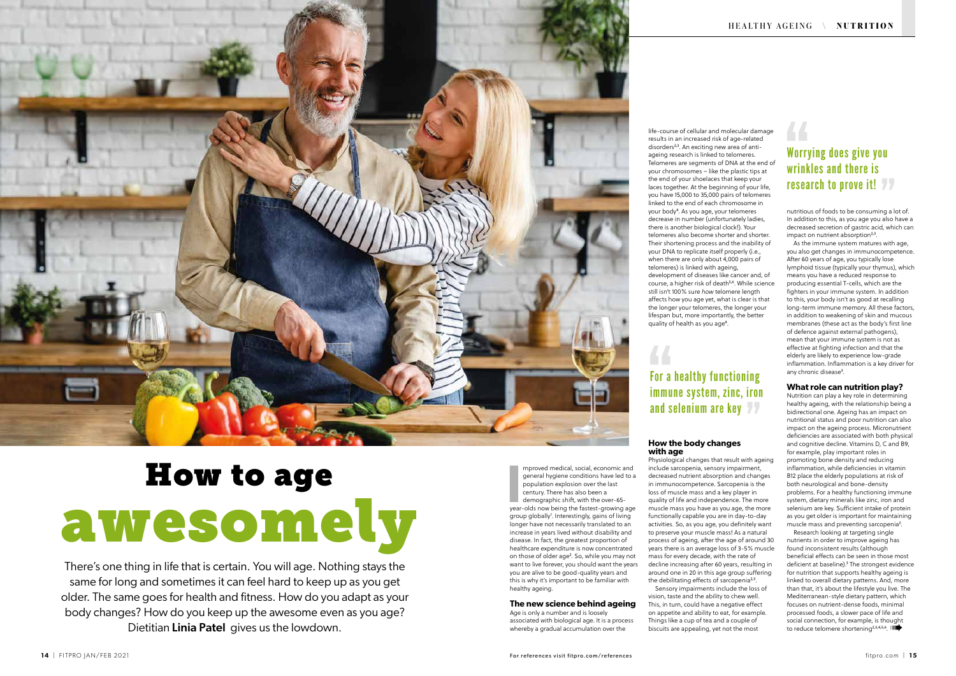## For a healthy functioning immune system, zinc, iron and selenium are key



# How to age awesomely

There's one thing in life that is certain. You will age. Nothing stays the same for long and sometimes it can feel hard to keep up as you get older. The same goes for health and fitness. How do you adapt as your body changes? How do you keep up the awesome even as you age? Dietitian Linia Patel gives us the lowdown.

mproved medical, social, economic and<br>general hygiene conditions have led to a<br>population explosion over the last<br>century. There has also been a<br>demographic shift, with the over-65-<br>year-olds now being the fastest-growing mproved medical, social, economic and general hygiene conditions have led to a population explosion over the last century. There has also been a demographic shift, with the over-65 group globally<sup>1</sup>. Interestingly, gains of living longer have not necessarily translated to an increase in years lived without disability and disease. In fact, the greatest proportion of healthcare expenditure is now concentrated on those of older age². So, while you may not want to live forever, you should want the years you are alive to be good-quality years and this is why it's important to be familiar with healthy ageing.

life-course of cellular and molecular damage results in an increased risk of age-related disorders<sup>2,3</sup>. An exciting new area of antiageing research is linked to telomeres. Telomeres are segments of DNA at the end of your chromosomes – like the plastic tips at the end of your shoelaces that keep your laces together. At the beginning of your life, you have 15,000 to 35,000 pairs of telomeres linked to the end of each chromosome in your body<sup>4</sup>. As you age, your telomeres decrease in number (unfortunately ladies, there is another biological clock!). Your telomeres also become shorter and shorter. Their shortening process and the inability of your DNA to replicate itself properly (i.e., when there are only about 4,000 pairs of telomeres) is linked with ageing, development of diseases like cancer and, of course, a higher risk of death<sup>5,6</sup>. While science still isn't 100% sure *how* telomere length affects how you age yet, what is clear is that the longer your telomeres, the longer your lifespan but, more importantly, the better quality of health as you age<sup>4</sup>.

#### **The new science behind ageing**

Age is only a number and is loosely associated with biological age. It is a process whereby a gradual accumulation over the

nutritious of foods to be consuming a lot of. In addition to this, as you age you also have a decreased secretion of gastric acid, which can impact on nutrient absorption<sup>2,3</sup>.

As the immune system matures with age, you also get changes in immunocompetence. After 60 years of age, you typically lose lymphoid tissue (typically your thymus), which means you have a reduced response to producing essential T-cells, which are the fighters in your immune system. In addition to this, your body isn't as good at recalling long-term immune memory. All these factors, in addition to weakening of skin and mucous membranes (these act as the body's first line of defence against external pathogens), mean that your immune system is not as effective at fighting infection and that the elderly are likely to experience low-grade inflammation. Inflammation is a key driver for any chronic disease<sup>3</sup>.

#### **How the body changes with age**

### Worrying does give you wrinkles and there is research to prove it! 77

Physiological changes that result with ageing include sarcopenia, sensory impairment, decreased nutrient absorption and changes in immunocompetence. Sarcopenia is the loss of muscle mass and a key player in quality of life and independence. The more muscle mass you have as you age, the more functionally capable you are in day-to-day activities. So, as you age, you definitely want to preserve your muscle mass! As a natural process of ageing, after the age of around 30 years there is an average loss of 3-5% muscle mass for every decade, with the rate of decline increasing after 60 years, resulting in around one in 20 in this age group suffering the debilitating effects of sarcopenia<sup>2,3</sup>. vision, taste and the ability to chew well. This, in turn, could have a negative effect on appetite and ability to eat, for example. Things like a cup of tea and a couple of biscuits are appealing, yet not the most

Sensory impairments include the loss of

#### **What role can nutrition play?**

Nutrition can play a key role in determining healthy ageing, with the relationship being a bidirectional one. Ageing has an impact on nutritional status and poor nutrition can also impact on the ageing process. Micronutrient deficiencies are associated with both physical and cognitive decline. Vitamins D, C and B9, for example, play important roles in promoting bone density and reducing inflammation, while deficiencies in vitamin B12 place the elderly populations at risk of both neurological and bone-density problems. For a healthy functioning immune system, dietary minerals like zinc, iron and selenium are key. Sufficient intake of protein as you get older is important for maintaining muscle mass and preventing sarcopenia².

Research looking at targeting single nutrients in order to improve ageing has found inconsistent results (although beneficial effects can be seen in those most deficient at baseline).<sup>3</sup> The strongest evidence for nutrition that supports healthy ageing is linked to overall dietary patterns. And, more than that, it's about the lifestyle you live. The Mediterranean-style dietary pattern, which focuses on nutrient-dense foods, minimal processed foods, a slower pace of life and social connection, for example, is thought to reduce telomere shortening<sup>2,3,4,5,6</sup>. IIII